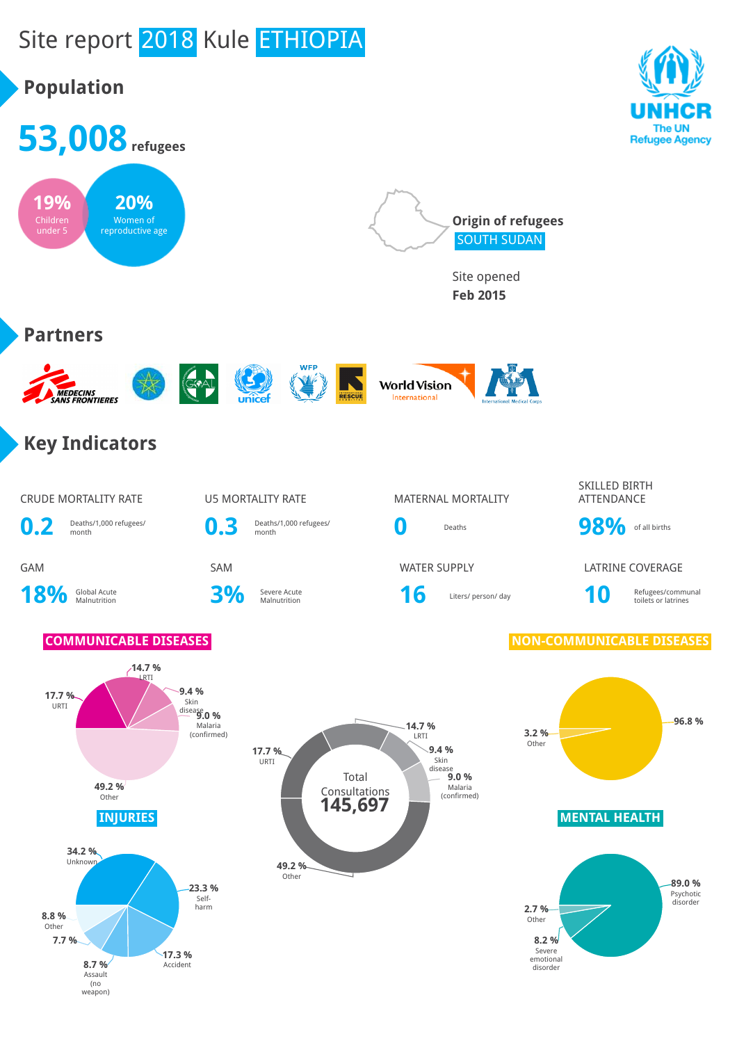# Site report 2018 Kule ETHIOPIA

weapon)

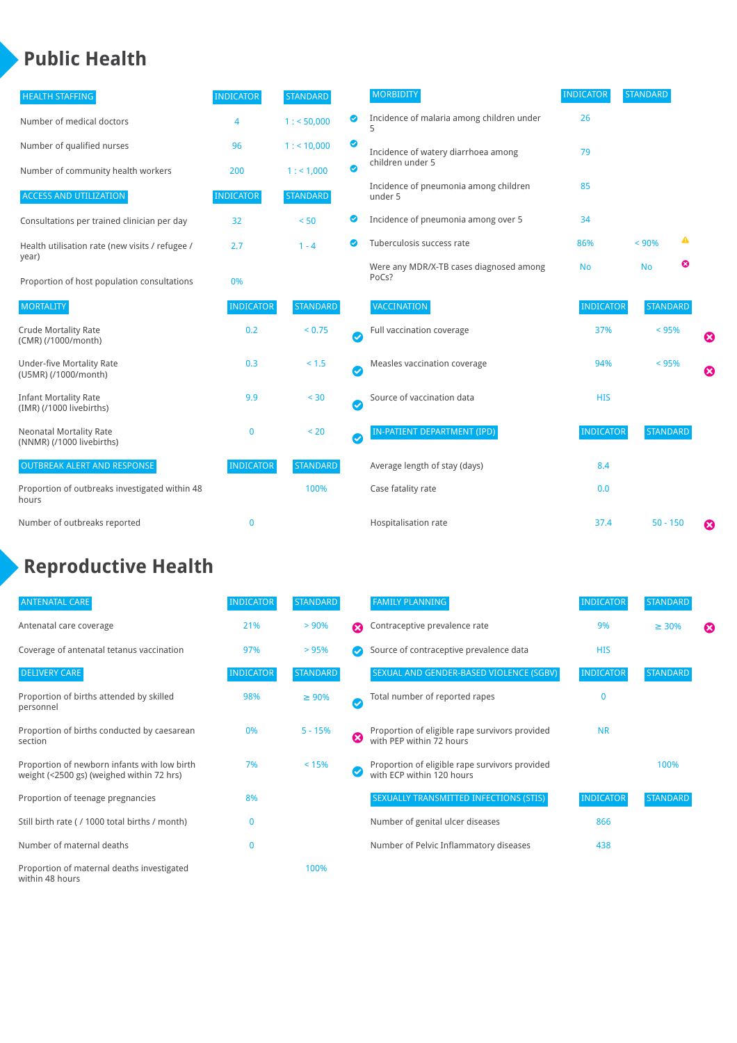### **Public Health**

| <b>HEALTH STAFFING</b>                                      | <b>INDICATOR</b> | <b>STANDARD</b> |                            | <b>MORBIDITY</b>                                 | <b>INDICATOR</b> | <b>STANDARD</b> |   |   |
|-------------------------------------------------------------|------------------|-----------------|----------------------------|--------------------------------------------------|------------------|-----------------|---|---|
| Number of medical doctors                                   | $\overline{4}$   | 1: 50,000       | ◎                          | Incidence of malaria among children under        | 26               |                 |   |   |
| Number of qualified nurses                                  | 96               | $1:$ < 10,000   | ◕                          | Incidence of watery diarrhoea among              | 79               |                 |   |   |
| Number of community health workers                          | 200              | 1: 1,000        | ◙                          | children under 5                                 |                  |                 |   |   |
| <b>ACCESS AND UTILIZATION</b>                               | <b>INDICATOR</b> | <b>STANDARD</b> |                            | Incidence of pneumonia among children<br>under 5 | 85               |                 |   |   |
| Consultations per trained clinician per day                 | 32               | < 50            | ◙                          | Incidence of pneumonia among over 5              | 34               |                 |   |   |
| Health utilisation rate (new visits / refugee /             | 2.7              | $1 - 4$         |                            | Tuberculosis success rate                        | 86%              | < 90%           | ◭ |   |
| year)<br>Proportion of host population consultations        | 0%               |                 |                            | Were any MDR/X-TB cases diagnosed among<br>PoCs? | <b>No</b>        | <b>No</b>       | ఴ |   |
| <b>MORTALITY</b>                                            | <b>INDICATOR</b> | <b>STANDARD</b> |                            | <b>VACCINATION</b>                               | <b>INDICATOR</b> | <b>STANDARD</b> |   |   |
| <b>Crude Mortality Rate</b><br>(CMR) (/1000/month)          | 0.2              | < 0.75          | Ø                          | Full vaccination coverage                        | 37%              | $< 95\%$        |   | ☺ |
| <b>Under-five Mortality Rate</b><br>(U5MR) (/1000/month)    | 0.3              | $< 1.5$         | $\bm \omega$               | Measles vaccination coverage                     | 94%              | < 95%           |   | 0 |
| <b>Infant Mortality Rate</b><br>(IMR) (/1000 livebirths)    | 9.9              | < 30            | $\boldsymbol{\mathcal{S}}$ | Source of vaccination data                       | <b>HIS</b>       |                 |   |   |
| <b>Neonatal Mortality Rate</b><br>(NNMR) (/1000 livebirths) | $\mathbf 0$      | < 20            | Ø                          | IN-PATIENT DEPARTMENT (IPD)                      | <b>INDICATOR</b> | <b>STANDARD</b> |   |   |
| <b>OUTBREAK ALERT AND RESPONSE</b>                          | <b>INDICATOR</b> | <b>STANDARD</b> |                            | Average length of stay (days)                    | 8.4              |                 |   |   |
| Proportion of outbreaks investigated within 48<br>hours     |                  | 100%            |                            | Case fatality rate                               | 0.0              |                 |   |   |
| Number of outbreaks reported                                | $\mathbf{0}$     |                 |                            | Hospitalisation rate                             | 37.4             | $50 - 150$      |   | € |

### **Reproductive Health**

| <b>ANTENATAL CARE</b>                                                                     | <b>INDICATOR</b> | <b>STANDARD</b> |           | <b>FAMILY PLANNING</b>                                                      | <b>INDICATOR</b> | <b>STANDARD</b> |                       |
|-------------------------------------------------------------------------------------------|------------------|-----------------|-----------|-----------------------------------------------------------------------------|------------------|-----------------|-----------------------|
| Antenatal care coverage                                                                   | 21%              | > 90%           | Ω         | Contraceptive prevalence rate                                               | 9%               | $\geq 30\%$     | $\boldsymbol{\omega}$ |
| Coverage of antenatal tetanus vaccination                                                 | 97%              | >95%            |           | Source of contraceptive prevalence data                                     | <b>HIS</b>       |                 |                       |
| <b>DELIVERY CARE</b>                                                                      | <b>INDICATOR</b> | <b>STANDARD</b> |           | SEXUAL AND GENDER-BASED VIOLENCE (SGBV)                                     | <b>INDICATOR</b> | <b>STANDARD</b> |                       |
| Proportion of births attended by skilled<br>personnel                                     | 98%              | $\geq 90\%$     | $\bullet$ | Total number of reported rapes                                              | $\mathbf{0}$     |                 |                       |
| Proportion of births conducted by caesarean<br>section                                    | 0%               | $5 - 15%$       | Ø         | Proportion of eligible rape survivors provided<br>with PEP within 72 hours  | <b>NR</b>        |                 |                       |
| Proportion of newborn infants with low birth<br>weight (<2500 gs) (weighed within 72 hrs) | 7%               | < 15%           |           | Proportion of eligible rape survivors provided<br>with ECP within 120 hours |                  | 100%            |                       |
| Proportion of teenage pregnancies                                                         | 8%               |                 |           | SEXUALLY TRANSMITTED INFECTIONS (STIS)                                      | <b>INDICATOR</b> | <b>STANDARD</b> |                       |
| Still birth rate (/1000 total births / month)                                             |                  |                 |           | Number of genital ulcer diseases                                            | 866              |                 |                       |
| Number of maternal deaths                                                                 | $\mathbf{0}$     |                 |           | Number of Pelvic Inflammatory diseases                                      | 438              |                 |                       |
| Proportion of maternal deaths investigated<br>within 48 hours                             |                  | 100%            |           |                                                                             |                  |                 |                       |